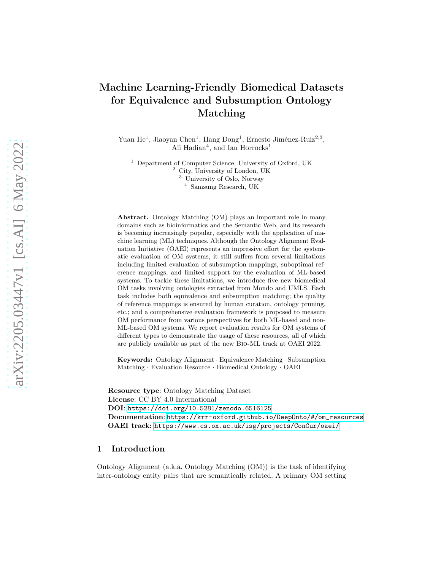# Machine Learning-Friendly Biomedical Datasets for Equivalence and Subsumption Ontology Matching

Yuan He<sup>1</sup>, Jiaoyan Chen<sup>1</sup>, Hang Dong<sup>1</sup>, Ernesto Jiménez-Ruiz<sup>2,3</sup>, Ali Hadian<sup>4</sup>, and Ian Horrocks<sup>1</sup>

<sup>1</sup> Department of Computer Science, University of Oxford, UK <sup>2</sup> City, University of London, UK <sup>3</sup> University of Oslo, Norway

4 Samsung Research, UK

Abstract. Ontology Matching (OM) plays an important role in many domains such as bioinformatics and the Semantic Web, and its research is becoming increasingly popular, especially with the application of machine learning (ML) techniques. Although the Ontology Alignment Evaluation Initiative (OAEI) represents an impressive effort for the systematic evaluation of OM systems, it still suffers from several limitations including limited evaluation of subsumption mappings, suboptimal reference mappings, and limited support for the evaluation of ML-based systems. To tackle these limitations, we introduce five new biomedical OM tasks involving ontologies extracted from Mondo and UMLS. Each task includes both equivalence and subsumption matching; the quality of reference mappings is ensured by human curation, ontology pruning, etc.; and a comprehensive evaluation framework is proposed to measure OM performance from various perspectives for both ML-based and non-ML-based OM systems. We report evaluation results for OM systems of different types to demonstrate the usage of these resources, all of which are publicly available as part of the new Bio-ML track at OAEI 2022.

Keywords: Ontology Alignment · Equivalence Matching · Subsumption Matching · Evaluation Resource · Biomedical Ontology · OAEI

Resource type: Ontology Matching Dataset License: CC BY 4.0 International DOI: <https://doi.org/10.5281/zenodo.6516125> Documentation: [https://krr-oxford.github.io/DeepOnto/#/om\\_resources](https://krr-oxford.github.io/DeepOnto/#/om_resources) OAEI track: <https://www.cs.ox.ac.uk/isg/projects/ConCur/oaei/>

# 1 Introduction

Ontology Alignment (a.k.a. Ontology Matching (OM)) is the task of identifying inter-ontology entity pairs that are semantically related. A primary OM setting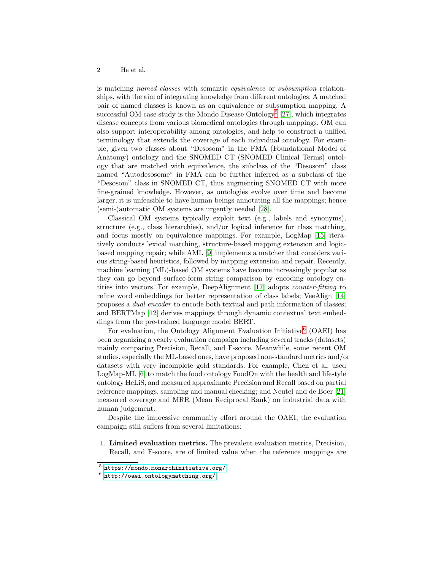is matching named classes with semantic equivalence or subsumption relationships, with the aim of integrating knowledge from different ontologies. A matched pair of named classes is known as an equivalence or subsumption mapping. A successful OM case study is the Mondo Disease Ontology<sup>[5](#page-1-0)</sup> [\[27\]](#page-16-0), which integrates disease concepts from various biomedical ontologies through mappings. OM can also support interoperability among ontologies, and help to construct a unified terminology that extends the coverage of each individual ontology. For example, given two classes about "Desosom" in the FMA (Foundational Model of Anatomy) ontology and the SNOMED CT (SNOMED Clinical Terms) ontology that are matched with equivalence, the subclass of the "Desosom" class named "Autodesosome" in FMA can be further inferred as a subclass of the "Desosom" class in SNOMED CT, thus augmenting SNOMED CT with more fine-grained knowledge. However, as ontologies evolve over time and become larger, it is unfeasible to have human beings annotating all the mappings; hence (semi-)automatic OM systems are urgently needed [\[28\]](#page-16-1).

Classical OM systems typically exploit text (e.g., labels and synonyms), structure (e.g., class hierarchies), and/or logical inference for class matching, and focus mostly on equivalence mappings. For example, LogMap [\[15\]](#page-15-0) iteratively conducts lexical matching, structure-based mapping extension and logicbased mapping repair; while AML [\[9\]](#page-15-1) implements a matcher that considers various string-based heuristics, followed by mapping extension and repair. Recently, machine learning (ML)-based OM systems have become increasingly popular as they can go beyond surface-form string comparison by encoding ontology entities into vectors. For example, DeepAlignment [\[17\]](#page-15-2) adopts counter-fitting to refine word embeddings for better representation of class labels; VeeAlign [\[14\]](#page-15-3) proposes a dual encoder to encode both textual and path information of classes; and BERTMap [\[12\]](#page-15-4) derives mappings through dynamic contextual text embeddings from the pre-trained language model BERT.

For evaluation, the Ontology Alignment Evaluation Initiative<sup>[6](#page-1-1)</sup> (OAEI) has been organizing a yearly evaluation campaign including several tracks (datasets) mainly comparing Precision, Recall, and F-score. Meanwhile, some recent OM studies, especially the ML-based ones, have proposed non-standard metrics and/or datasets with very incomplete gold standards. For example, Chen et al. used LogMap-ML [\[6\]](#page-15-5) to match the food ontology FoodOn with the health and lifestyle ontology HeLiS, and measured approximate Precision and Recall based on partial reference mappings, sampling and manual checking; and Neutel and de Boer [\[21\]](#page-16-2) measured coverage and MRR (Mean Reciprocal Rank) on industrial data with human judgement.

Despite the impressive community effort around the OAEI, the evaluation campaign still suffers from several limitations:

1. Limited evaluation metrics. The prevalent evaluation metrics, Precision, Recall, and F-score, are of limited value when the reference mappings are

 $<sup>5</sup>$  <https://mondo.monarchinitiative.org/></sup>

<span id="page-1-1"></span><span id="page-1-0"></span><sup>6</sup> <http://oaei.ontologymatching.org/>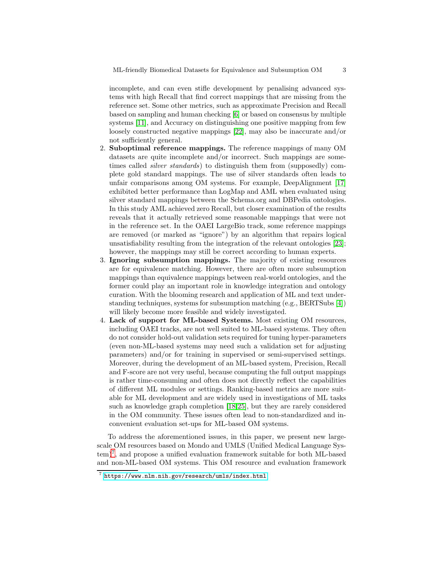incomplete, and can even stifle development by penalising advanced systems with high Recall that find correct mappings that are missing from the reference set. Some other metrics, such as approximate Precision and Recall based on sampling and human checking [\[6\]](#page-15-5) or based on consensus by multiple systems [\[11\]](#page-15-6), and Accuracy on distinguishing one positive mapping from few loosely constructed negative mappings [\[22\]](#page-16-3), may also be inaccurate and/or not sufficiently general.

- 2. Suboptimal reference mappings. The reference mappings of many OM datasets are quite incomplete and/or incorrect. Such mappings are sometimes called silver standards) to distinguish them from (supposedly) complete gold standard mappings. The use of silver standards often leads to unfair comparisons among OM systems. For example, DeepAlignment [\[17\]](#page-15-2) exhibited better performance than LogMap and AML when evaluated using silver standard mappings between the Schema.org and DBPedia ontologies. In this study AML achieved zero Recall, but closer examination of the results reveals that it actually retrieved some reasonable mappings that were not in the reference set. In the OAEI LargeBio track, some reference mappings are removed (or marked as "ignore") by an algorithm that repairs logical unsatisfiability resulting from the integration of the relevant ontologies [23]; however, the mappings may still be correct according to human experts.
- 3. Ignoring subsumption mappings. The majority of existing resources are for equivalence matching. However, there are often more subsumption mappings than equivalence mappings between real-world ontologies, and the former could play an important role in knowledge integration and ontology curation. With the blooming research and application of ML and text understanding techniques, systems for subsumption matching (e.g., BERTSubs [\[4\]](#page-15-7)) will likely become more feasible and widely investigated.
- 4. Lack of support for ML-based Systems. Most existing OM resources, including OAEI tracks, are not well suited to ML-based systems. They often do not consider hold-out validation sets required for tuning hyper-parameters (even non-ML-based systems may need such a validation set for adjusting parameters) and/or for training in supervised or semi-supervised settings. Moreover, during the development of an ML-based system, Precision, Recall and F-score are not very useful, because computing the full output mappings is rather time-consuming and often does not directly reflect the capabilities of different ML modules or settings. Ranking-based metrics are more suitable for ML development and are widely used in investigations of ML tasks such as knowledge graph completion [\[18,](#page-15-8)[25\]](#page-16-4), but they are rarely considered in the OM community. These issues often lead to non-standardized and inconvenient evaluation set-ups for ML-based OM systems.

To address the aforementioned issues, in this paper, we present new largescale OM resources based on Mondo and UMLS (Unified Medical Language System)[7](#page-2-0) , and propose a unified evaluation framework suitable for both ML-based and non-ML-based OM systems. This OM resource and evaluation framework

<span id="page-2-0"></span><sup>7</sup> <https://www.nlm.nih.gov/research/umls/index.html>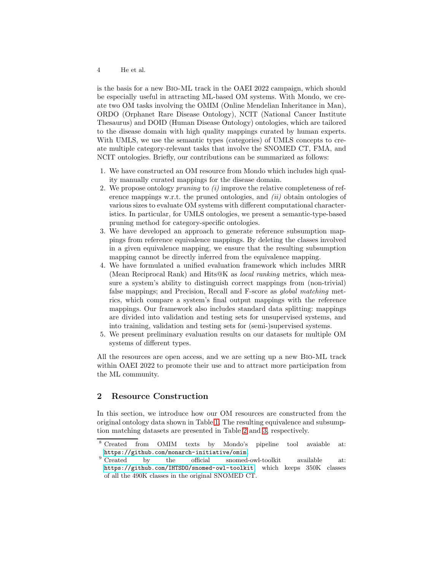is the basis for a new Bio-ML track in the OAEI 2022 campaign, which should be especially useful in attracting ML-based OM systems. With Mondo, we create two OM tasks involving the OMIM (Online Mendelian Inheritance in Man), ORDO (Orphanet Rare Disease Ontology), NCIT (National Cancer Institute Thesaurus) and DOID (Human Disease Ontology) ontologies, which are tailored to the disease domain with high quality mappings curated by human experts. With UMLS, we use the semantic types (categories) of UMLS concepts to create multiple category-relevant tasks that involve the SNOMED CT, FMA, and NCIT ontologies. Briefly, our contributions can be summarized as follows:

- 1. We have constructed an OM resource from Mondo which includes high quality manually curated mappings for the disease domain.
- 2. We propose ontology *pruning* to  $(i)$  improve the relative completeness of reference mappings w.r.t. the pruned ontologies, and *(ii)* obtain ontologies of various sizes to evaluate OM systems with different computational characteristics. In particular, for UMLS ontologies, we present a semantic-type-based pruning method for category-specific ontologies.
- 3. We have developed an approach to generate reference subsumption mappings from reference equivalence mappings. By deleting the classes involved in a given equivalence mapping, we ensure that the resulting subsumption mapping cannot be directly inferred from the equivalence mapping.
- 4. We have formulated a unified evaluation framework which includes MRR (Mean Reciprocal Rank) and Hits@K as local ranking metrics, which measure a system's ability to distinguish correct mappings from (non-trivial) false mappings; and Precision, Recall and F-score as global matching metrics, which compare a system's final output mappings with the reference mappings. Our framework also includes standard data splitting: mappings are divided into validation and testing sets for unsupervised systems, and into training, validation and testing sets for (semi-)supervised systems.
- 5. We present preliminary evaluation results on our datasets for multiple OM systems of different types.

All the resources are open access, and we are setting up a new Bio-ML track within OAEI 2022 to promote their use and to attract more participation from the ML community.

# 2 Resource Construction

In this section, we introduce how our OM resources are constructed from the original ontology data shown in Table [1.](#page-4-0) The resulting equivalence and subsumption matching datasets are presented in Table [2](#page-4-1) and [3,](#page-4-1) respectively.

<span id="page-3-0"></span><sup>8</sup> Created from OMIM texts by Mondo's pipeline tool avaiable at:  $\begin{minipage}[c]{0.9\linewidth} \texttt{https://github.com/monarch-initative/omin.} \\ \texttt{9.} \texttt{Create} & \texttt{by} & \texttt{the} & \texttt{official} & \texttt{smooth-}\end{minipage}$ 

<span id="page-3-1"></span>by the official snomed-owl-toolkit available at: <https://github.com/IHTSDO/snomed-owl-toolkit>, which keeps 350K classes of all the 490K classes in the original SNOMED CT.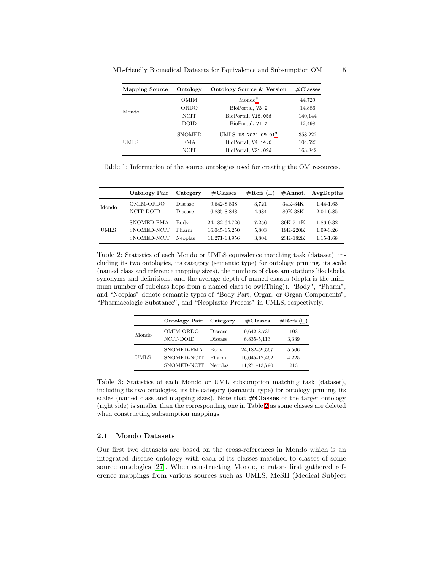| <b>Mapping Source</b> | Ontology                          | Ontology Source & Version        | $\#\mathrm{Classes}$ |  |  |
|-----------------------|-----------------------------------|----------------------------------|----------------------|--|--|
|                       | OMIM                              | Mondo <sup>8</sup>               | 44,729               |  |  |
| Mondo                 | ORDO                              | BioPortal, V3.2                  | 14,886               |  |  |
|                       | <b>NCIT</b><br>BioPortal, V18.05d |                                  | 140,144              |  |  |
|                       | <b>DOID</b>                       | BioPortal, V1.2                  | 12,498               |  |  |
|                       | <b>SNOMED</b>                     | UMLS, US.2021.09.01 <sup>9</sup> | 358,222              |  |  |
| <b>UMLS</b>           | <b>FMA</b>                        | BioPortal, V4.14.0               | 104,523              |  |  |
|                       | NCIT                              | BioPortal, V21.02d               | 163,842              |  |  |

<span id="page-4-0"></span>ML-friendly Biomedical Datasets for Equivalence and Subsumption OM 5

Table 1: Information of the source ontologies used for creating the OM resources.

<span id="page-4-1"></span>

|             | <b>Ontology Pair</b> | Category       | $\#\mathrm{Classes}$ | $\#\text{Refs } (\equiv)$ | $\#\text{Annot.}$ | AvgDepths     |
|-------------|----------------------|----------------|----------------------|---------------------------|-------------------|---------------|
| Mondo       | OMIM-ORDO            | Disease        | 9.642-8.838          | 3,721                     | 34K-34K           | 1.44-1.63     |
|             | NCIT-DOID            | Disease        | 6,835-8,848          | 4.684                     | 80K-38K           | 2.04-6.85     |
| <b>UMLS</b> | SNOMED-FMA           | Body           | 24, 182-64, 726      | 7,256                     | 39K-711K          | 1.86-9.32     |
|             | SNOMED-NCIT          | Pharm          | 16,045-15,250        | 5,803                     | 19K-220K          | 1.09-3.26     |
|             | SNOMED-NCIT          | <b>Neoplas</b> | 11,271-13,956        | 3,804                     | 23K-182K          | $1.15 - 1.68$ |

Table 2: Statistics of each Mondo or UMLS equivalence matching task (dataset), including its two ontologies, its category (semantic type) for ontology pruning, its scale (named class and reference mapping sizes), the numbers of class annotations like labels, synonyms and definitions, and the average depth of named classes (depth is the minimum number of subclass hops from a named class to owl:Thing)). "Body", "Pharm", and "Neoplas" denote semantic types of "Body Part, Organ, or Organ Components", "Pharmacologic Substance", and "Neoplastic Process" in UMLS, respectively.

|             | <b>Ontology Pair</b> | Category       | $\#\mathrm{Classes}$ | $\#\text{Refs } (\square)$ |
|-------------|----------------------|----------------|----------------------|----------------------------|
| Mondo       | OMIM-ORDO            | <b>Disease</b> | 9,642-8,735          | 103                        |
|             | NCIT-DOID            | <b>Disease</b> | 6,835-5,113          | 3.339                      |
| <b>UMLS</b> | SNOMED-FMA           | Body           | 24, 182-59, 567      | 5,506                      |
|             | SNOMED-NCIT          | Pharm          | 16,045-12,462        | 4,225                      |
|             | SNOMED-NCIT          | Neoplas        | 11,271-13,790        | 213                        |

Table 3: Statistics of each Mondo or UML subsumption matching task (dataset), including its two ontologies, its the category (semantic type) for ontology pruning, its scales (named class and mapping sizes). Note that  $\#\mathbf{Classes}$  of the target ontology (right side) is smaller than the corresponding one in Table [2](#page-4-1) as some classes are deleted when constructing subsumption mappings.

#### <span id="page-4-2"></span>2.1 Mondo Datasets

Our first two datasets are based on the cross-references in Mondo which is an integrated disease ontology with each of its classes matched to classes of some source ontologies [\[27\]](#page-16-0). When constructing Mondo, curators first gathered reference mappings from various sources such as UMLS, MeSH (Medical Subject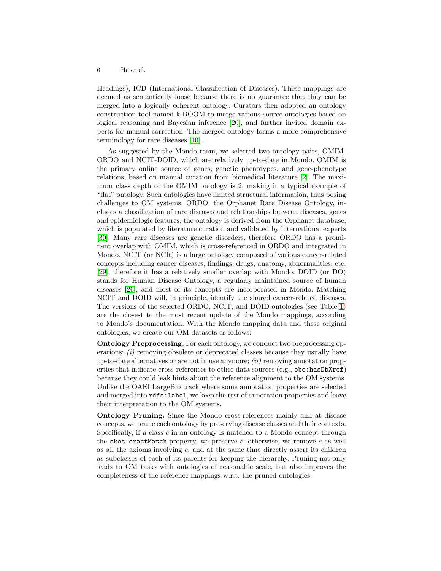Headings), ICD (International Classification of Diseases). These mappings are deemed as semantically loose because there is no guarantee that they can be merged into a logically coherent ontology. Curators then adopted an ontology construction tool named k-BOOM to merge various source ontologies based on logical reasoning and Bayesian inference [\[20\]](#page-16-5), and further invited domain experts for manual correction. The merged ontology forms a more comprehensive terminology for rare diseases [\[10\]](#page-15-9).

As suggested by the Mondo team, we selected two ontology pairs, OMIM-ORDO and NCIT-DOID, which are relatively up-to-date in Mondo. OMIM is the primary online source of genes, genetic phenotypes, and gene-phenotype relations, based on manual curation from biomedical literature [\[2\]](#page-15-10). The maximum class depth of the OMIM ontology is 2, making it a typical example of "flat" ontology. Such ontologies have limited structural information, thus posing challenges to OM systems. ORDO, the Orphanet Rare Disease Ontology, includes a classification of rare diseases and relationships between diseases, genes and epidemiologic features; the ontology is derived from the Orphanet database, which is populated by literature curation and validated by international experts [\[30\]](#page-16-6). Many rare diseases are genetic disorders, therefore ORDO has a prominent overlap with OMIM, which is cross-referenced in ORDO and integrated in Mondo. NCIT (or NCIt) is a large ontology composed of various cancer-related concepts including cancer diseases, findings, drugs, anatomy, abnormalities, etc. [\[29\]](#page-16-7), therefore it has a relatively smaller overlap with Mondo. DOID (or DO) stands for Human Disease Ontology, a regularly maintained source of human diseases [\[26\]](#page-16-8), and most of its concepts are incorporated in Mondo. Matching NCIT and DOID will, in principle, identify the shared cancer-related diseases. The versions of the selected ORDO, NCIT, and DOID ontologies (see Table [1\)](#page-4-0) are the closest to the most recent update of the Mondo mappings, according to Mondo's documentation. With the Mondo mapping data and these original ontologies, we create our OM datasets as follows:

Ontology Preprocessing. For each ontology, we conduct two preprocessing operations:  $(i)$  removing obsolete or deprecated classes because they usually have up-to-date alternatives or are not in use anymore;  $(ii)$  removing annotation properties that indicate cross-references to other data sources (e.g., obo:hasDbXref) because they could leak hints about the reference alignment to the OM systems. Unlike the OAEI LargeBio track where some annotation properties are selected and merged into rdfs:label, we keep the rest of annotation properties and leave their interpretation to the OM systems.

Ontology Pruning. Since the Mondo cross-references mainly aim at disease concepts, we prune each ontology by preserving disease classes and their contexts. Specifically, if a class  $c$  in an ontology is matched to a Mondo concept through the skos: exactMatch property, we preserve c; otherwise, we remove c as well as all the axioms involving  $c$ , and at the same time directly assert its children as subclasses of each of its parents for keeping the hierarchy. Pruning not only leads to OM tasks with ontologies of reasonable scale, but also improves the completeness of the reference mappings w.r.t. the pruned ontologies.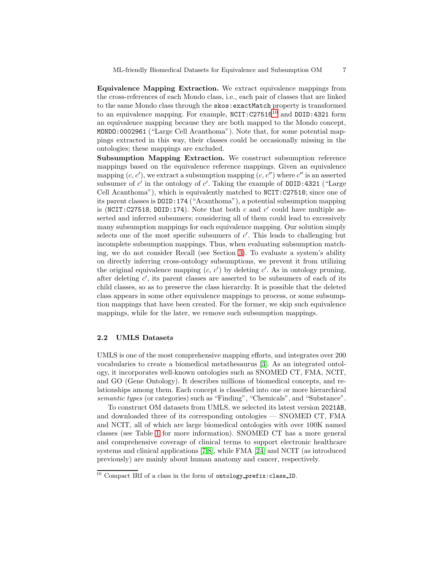Equivalence Mapping Extraction. We extract equivalence mappings from the cross-references of each Mondo class, i.e., each pair of classes that are linked to the same Mondo class through the skos:exactMatch property is transformed to an equivalence mapping. For example, NCIT:C27518[10](#page-6-0) and DOID:4321 form an equivalence mapping because they are both mapped to the Mondo concept, MONDO:0002961 ("Large Cell Acanthoma"). Note that, for some potential mappings extracted in this way, their classes could be occasionally missing in the ontologies; these mappings are excluded.

Subsumption Mapping Extraction. We construct subsumption reference mappings based on the equivalence reference mappings. Given an equivalence mapping  $(c, c')$ , we extract a subsumption mapping  $(c, c'')$  where  $c''$  is an asserted subsumer of  $c'$  in the ontology of  $c'$ . Taking the example of DOID:4321 ("Large Cell Acanthoma"), which is equivalently matched to NCIT:C27518; since one of its parent classes is DOID:174 ("Acanthoma"), a potential subsumption mapping is (NCIT:C27518, DOID:174). Note that both c and c' could have multiple asserted and inferred subsumers; considering all of them could lead to excessively many subsumption mappings for each equivalence mapping. Our solution simply selects one of the most specific subsumers of  $c'$ . This leads to challenging but incomplete subsumption mappings. Thus, when evaluating subsumption matching, we do not consider Recall (see Section [3\)](#page-7-0). To evaluate a system's ability on directly inferring cross-ontology subsumptions, we prevent it from utilizing the original equivalence mapping  $(c, c')$  by deleting c'. As in ontology pruning, after deleting  $c'$ , its parent classes are asserted to be subsumers of each of its child classes, so as to preserve the class hierarchy. It is possible that the deleted class appears in some other equivalence mappings to process, or some subsumption mappings that have been created. For the former, we skip such equivalence mappings, while for the later, we remove such subsumption mappings.

## 2.2 UMLS Datasets

UMLS is one of the most comprehensive mapping efforts, and integrates over 200 vocabularies to create a biomedical metathesaurus [\[3\]](#page-15-11). As an integrated ontology, it incorporates well-known ontologies such as SNOMED CT, FMA, NCIT, and GO (Gene Ontology). It describes millions of biomedical concepts, and relationships among them. Each concept is classified into one or more hierarchical semantic types (or categories) such as "Finding", "Chemicals", and "Substance".

To construct OM datasets from UMLS, we selected its latest version 2021AB, and downloaded three of its corresponding ontologies — SNOMED CT, FMA and NCIT, all of which are large biomedical ontologies with over 100K named classes (see Table [1](#page-4-0) for more information). SNOMED CT has a more general and comprehensive coverage of clinical terms to support electronic healthcare systems and clinical applications [\[7,](#page-15-12)[8\]](#page-15-13), while FMA [\[24\]](#page-16-9) and NCIT (as introduced previously) are mainly about human anatomy and cancer, respectively.

<span id="page-6-0"></span> $10$  Compact IRI of a class in the form of ontology-prefix: class ID.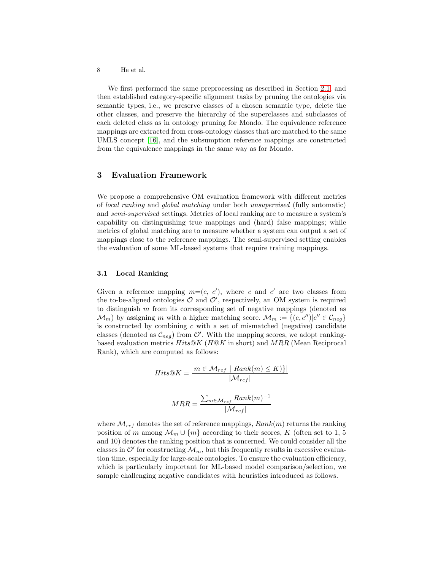8 He et al.

We first performed the same preprocessing as described in Section [2.1,](#page-4-2) and then established category-specific alignment tasks by pruning the ontologies via semantic types, i.e., we preserve classes of a chosen semantic type, delete the other classes, and preserve the hierarchy of the superclasses and subclasses of each deleted class as in ontology pruning for Mondo. The equivalence reference mappings are extracted from cross-ontology classes that are matched to the same UMLS concept [\[16\]](#page-15-14), and the subsumption reference mappings are constructed from the equivalence mappings in the same way as for Mondo.

# <span id="page-7-0"></span>3 Evaluation Framework

We propose a comprehensive OM evaluation framework with different metrics of local ranking and global matching under both unsupervised (fully automatic) and semi-supervised settings. Metrics of local ranking are to measure a system's capability on distinguishing true mappings and (hard) false mappings; while metrics of global matching are to measure whether a system can output a set of mappings close to the reference mappings. The semi-supervised setting enables the evaluation of some ML-based systems that require training mappings.

### 3.1 Local Ranking

Given a reference mapping  $m=(c, c')$ , where c and c' are two classes from the to-be-aligned ontologies  $\mathcal O$  and  $\mathcal O'$ , respectively, an OM system is required to distinguish  $m$  from its corresponding set of negative mappings (denoted as  $\mathcal{M}_m$ ) by assigning m with a higher matching score.  $\mathcal{M}_m := \{(c, c'')|c'' \in \mathcal{C}_{neg}\}\$ is constructed by combining  $c$  with a set of mismatched (negative) candidate classes (denoted as  $\mathcal{C}_{neg}$ ) from  $\mathcal{O}'$ . With the mapping scores, we adopt rankingbased evaluation metrics  $Hits@K$  ( $H@K$  in short) and  $MRR$  (Mean Reciprocal Rank), which are computed as follows:

$$
Hits@K = \frac{|m \in \mathcal{M}_{ref} \mid Rank(m) \leq K)\}|}{|\mathcal{M}_{ref}|}
$$

$$
\sum_{m \in \mathcal{M}_{ref}} Rank(m)^{-1}
$$

$$
|\mathcal{M}_{ref}|
$$
  
where  $\mathcal{M}_{ref}$  denotes the set of reference mappings,  $Rank(m)$  returns the ranking  
position of  $m$  among  $\mathcal{M}_m \cup \{m\}$  according to their scores,  $K$  (often set to 1, 5  
and 10) denotes the ranking position that is concerned. We could consider all the  
classes in  $\mathcal{O}'$  for constructing  $\mathcal{M}_m$ , but this frequently results in excessive evalua-  
tion time, especially for large-scale ontologies. To ensure the evaluation efficiency,  
which is particularly important for ML-based model comparison/selectron, we  
sample challenging negative candidates with heuristics introduced as follows.

 $MRR =$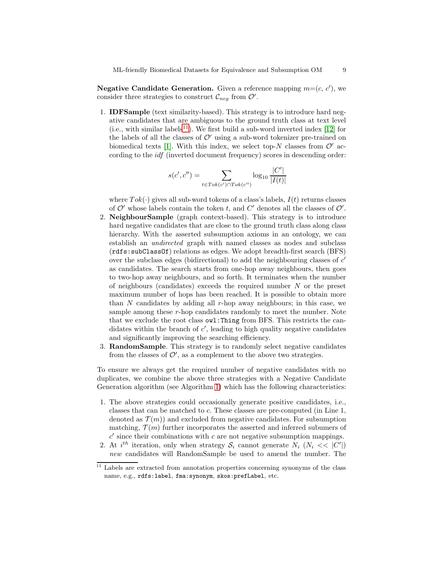**Negative Candidate Generation.** Given a reference mapping  $m=(c, c')$ , we consider three strategies to construct  $\mathcal{C}_{neg}$  from  $\mathcal{O}'$ .

1. IDFSample (text similarity-based). This strategy is to introduce hard negative candidates that are ambiguous to the ground truth class at text level (i.e., with similar labels<sup>[11](#page-8-0)</sup>). We first build a sub-word inverted index [\[12\]](#page-15-4) for the labels of all the classes of  $\mathcal{O}'$  using a sub-word tokenizer pre-trained on biomedical texts [\[1\]](#page-15-15). With this index, we select top-N classes from  $\mathcal{O}'$  according to the idf (inverted document frequency) scores in descending order:

$$
s(c',c'') = \sum_{t \in Tok(c') \cap Tok(c'')} \log_{10}\frac{|C'|}{|I(t)|}
$$

where  $Tok(\cdot)$  gives all sub-word tokens of a class's labels,  $I(t)$  returns classes of  $\mathcal{O}'$  whose labels contain the token t, and  $C'$  denotes all the classes of  $\mathcal{O}'$ .

- 2. NeighbourSample (graph context-based). This strategy is to introduce hard negative candidates that are close to the ground truth class along class hierarchy. With the asserted subsumption axioms in an ontology, we can establish an undirected graph with named classes as nodes and subclass (rdfs:subClassOf) relations as edges. We adopt breadth-first search (BFS) over the subclass edges (bidirectional) to add the neighbouring classes of  $c'$ as candidates. The search starts from one-hop away neighbours, then goes to two-hop away neighbours, and so forth. It terminates when the number of neighbours (candidates) exceeds the required number N or the preset maximum number of hops has been reached. It is possible to obtain more than  $N$  candidates by adding all  $r$ -hop away neighbours; in this case, we sample among these r-hop candidates randomly to meet the number. Note that we exclude the root class owl:Thing from BFS. This restricts the candidates within the branch of c', leading to high quality negative candidates and significantly improving the searching efficiency.
- 3. RandomSample. This strategy is to randomly select negative candidates from the classes of  $\mathcal{O}'$ , as a complement to the above two strategies.

To ensure we always get the required number of negative candidates with no duplicates, we combine the above three strategies with a Negative Candidate Generation algorithm (see Algorithm [1\)](#page-9-0) which has the following characteristics:

- 1. The above strategies could occasionally generate positive candidates, i.e., classes that can be matched to c. These classes are pre-computed (in Line 1, denoted as  $\mathcal{T}(m)$  and excluded from negative candidates. For subsumption matching,  $\mathcal{T}(m)$  further incorporates the asserted and inferred subumers of  $c'$  since their combinations with  $c$  are not negative subsumption mappings.
- 2. At i<sup>th</sup> iteration, only when strategy  $S_i$  cannot generate  $N_i$  ( $N_i$  <<  $|C'|$ ) new candidates will RandomSample be used to amend the number. The

<span id="page-8-0"></span> $11$  Labels are extracted from annotation properties concerning synonyms of the class name, e.g., rdfs:label, fma:synonym, skos:prefLabel, etc.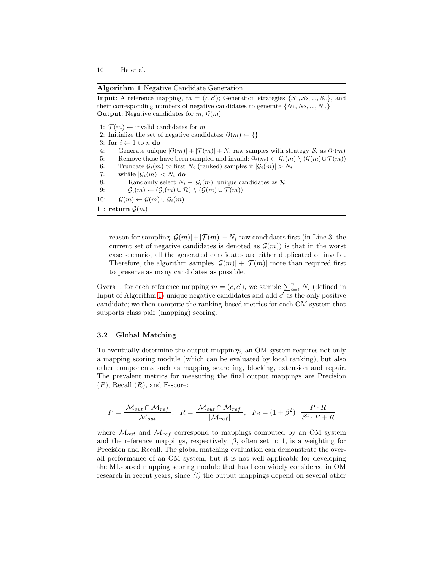<span id="page-9-0"></span>Algorithm 1 Negative Candidate Generation

**Input:** A reference mapping,  $m = (c, c')$ ; Generation strategies  $\{S_1, S_2, ..., S_n\}$ , and their corresponding numbers of negative candidates to generate  $\{N_1, N_2, ..., N_n\}$ **Output:** Negative candidates for  $m, \mathcal{G}(m)$ 

1:  $\mathcal{T}(m) \leftarrow$  invalid candidates for m 2: Initialize the set of negative candidates:  $\mathcal{G}(m) \leftarrow \{\}$ 3: for  $i \leftarrow 1$  to *n* do 4: Generate unique  $|\mathcal{G}(m)| + |\mathcal{T}(m)| + N_i$  raw samples with strategy  $\mathcal{S}_i$  as  $\mathcal{G}_i(m)$ 5: Remove those have been sampled and invalid:  $\mathcal{G}_i(m) \leftarrow \mathcal{G}_i(m) \setminus (\mathcal{G}(m) \cup \mathcal{T}(m))$ 6: Truncate  $\mathcal{G}_i(m)$  to first  $N_i$  (ranked) samples if  $|\mathcal{G}_i(m)| > N_i$ 7: while  $|\mathcal{G}_i(m)| < N_i$  do 8: Randomly select  $N_i - |\mathcal{G}_i(m)|$  unique candidates as  $\mathcal{R}$ 9:  $\mathcal{G}_i(m) \leftarrow (\mathcal{G}_i(m) \cup \mathcal{R}) \setminus (\mathcal{G}(m) \cup \mathcal{T}(m))$ 10:  $\mathcal{G}(m) \leftarrow \mathcal{G}(m) \cup \mathcal{G}_i(m)$ 11: return  $\mathcal{G}(m)$ 

reason for sampling  $|\mathcal{G}(m)|+|\mathcal{T}(m)|+N_i$  raw candidates first (in Line 3; the current set of negative candidates is denoted as  $\mathcal{G}(m)$  is that in the worst case scenario, all the generated candidates are either duplicated or invalid. Therefore, the algorithm samples  $|\mathcal{G}(m)| + |\mathcal{T}(m)|$  more than required first to preserve as many candidates as possible.

Overall, for each reference mapping  $m = (c, c')$ , we sample  $\sum_{i=1}^{n} N_i$  (defined in Input of Algorithm [1\)](#page-9-0) unique negative candidates and add  $c'$  as the only positive candidate; we then compute the ranking-based metrics for each OM system that supports class pair (mapping) scoring.

#### 3.2 Global Matching

To eventually determine the output mappings, an OM system requires not only a mapping scoring module (which can be evaluated by local ranking), but also other components such as mapping searching, blocking, extension and repair. The prevalent metrics for measuring the final output mappings are Precision  $(P)$ , Recall  $(R)$ , and F-score:

$$
P = \frac{|\mathcal{M}_{out} \cap \mathcal{M}_{ref}|}{|\mathcal{M}_{out}|}, \ R = \frac{|\mathcal{M}_{out} \cap \mathcal{M}_{ref}|}{|\mathcal{M}_{ref}|}, \ F_{\beta} = (1 + \beta^2) \cdot \frac{P \cdot R}{\beta^2 \cdot P + R}
$$

where  $\mathcal{M}_{out}$  and  $\mathcal{M}_{ref}$  correspond to mappings computed by an OM system and the reference mappings, respectively;  $\beta$ , often set to 1, is a weighting for Precision and Recall. The global matching evaluation can demonstrate the overall performance of an OM system, but it is not well applicable for developing the ML-based mapping scoring module that has been widely considered in OM research in recent years, since  $(i)$  the output mappings depend on several other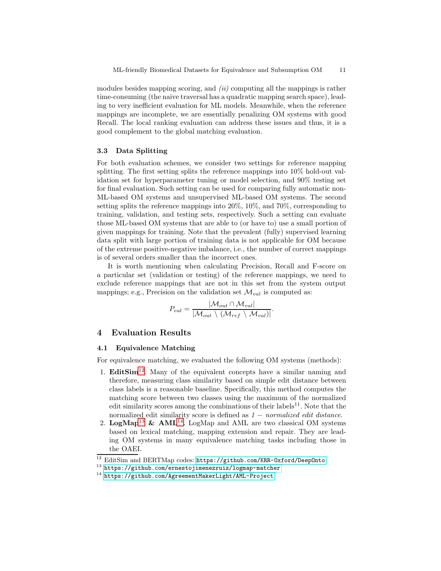modules besides mapping scoring, and  $(ii)$  computing all the mappings is rather time-consuming (the naive traversal has a quadratic mapping search space), leading to very inefficient evaluation for ML models. Meanwhile, when the reference mappings are incomplete, we are essentially penalizing OM systems with good Recall. The local ranking evaluation can address these issues and thus, it is a good complement to the global matching evaluation.

#### 3.3 Data Splitting

For both evaluation schemes, we consider two settings for reference mapping splitting. The first setting splits the reference mappings into 10% hold-out validation set for hyperparameter tuning or model selection, and 90% testing set for final evaluation. Such setting can be used for comparing fully automatic non-ML-based OM systems and unsupervised ML-based OM systems. The second setting splits the reference mappings into 20%, 10%, and 70%, corresponding to training, validation, and testing sets, respectively. Such a setting can evaluate those ML-based OM systems that are able to (or have to) use a small portion of given mappings for training. Note that the prevalent (fully) supervised learning data split with large portion of training data is not applicable for OM because of the extreme positive-negative imbalance, i.e., the number of correct mappings is of several orders smaller than the incorrect ones.

It is worth mentioning when calculating Precision, Recall and F-score on a particular set (validation or testing) of the reference mappings, we need to exclude reference mappings that are not in this set from the system output mappings; e.g., Precision on the validation set  $\mathcal{M}_{val}$  is computed as:

$$
P_{val} = \frac{|\mathcal{M}_{out} \cap \mathcal{M}_{val}|}{|\mathcal{M}_{out} \setminus (\mathcal{M}_{ref} \setminus \mathcal{M}_{val})|}.
$$

# 4 Evaluation Results

## 4.1 Equivalence Matching

For equivalence matching, we evaluated the following OM systems (methods):

- 1.  $EditSim<sup>12</sup>$  $EditSim<sup>12</sup>$  $EditSim<sup>12</sup>$ . Many of the equivalent concepts have a similar naming and therefore, measuring class similarity based on simple edit distance between class labels is a reasonable baseline. Specifically, this method computes the matching score between two classes using the maximum of the normalized edit similarity scores among the combinations of their labels<sup>11</sup>. Note that the normalized edit similarity score is defined as  $1 − normalized edit distance$ .
- 2. LogMap<sup>[13](#page-10-1)</sup> & AML<sup>[14](#page-10-2)</sup>. LogMap and AML are two classical OM systems based on lexical matching, mapping extension and repair. They are leading OM systems in many equivalence matching tasks including those in the OAEI.

 $^{12}$  EditSim and BERTMap codes:  ${\tt https://github.com/KRR-Oxford/DeepOnto}$  ${\tt https://github.com/KRR-Oxford/DeepOnto}$  ${\tt https://github.com/KRR-Oxford/DeepOnto}$ 

<span id="page-10-0"></span> $^{\rm 13}$ <https://github.com/ernestojimenezruiz/logmap-matcher>

<span id="page-10-2"></span><span id="page-10-1"></span><sup>14</sup> <https://github.com/AgreementMakerLight/AML-Project>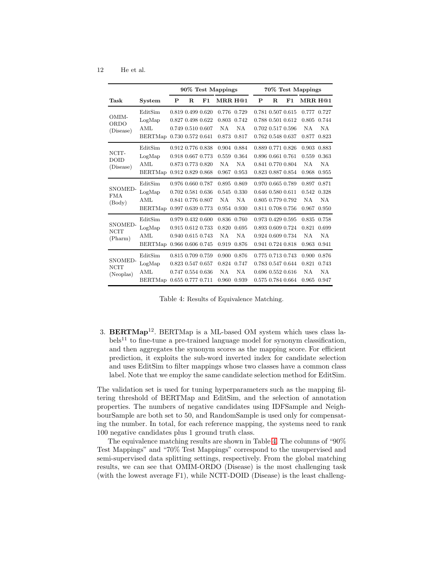<span id="page-11-0"></span>

|                        |                | 90% Test Mappings |            |                   | 70% Test Mappings |             |   |   |                   |         |             |
|------------------------|----------------|-------------------|------------|-------------------|-------------------|-------------|---|---|-------------------|---------|-------------|
| Task                   | System         | P                 | $_{\rm R}$ | $_{\rm F1}$       | MRR H@1           |             | P | R | F1.               | MRR H@1 |             |
|                        | EditSim        |                   |            | 0.819 0.499 0.620 | 0.776             | 0.729       |   |   | 0.781 0.507 0.615 |         | 0.777 0.727 |
| OMIM-<br>ORDO          | LogMap         |                   |            | 0.827 0.498 0.622 |                   | 0.803 0.742 |   |   | 0.788 0.501 0.612 | 0.805   | 0.744       |
| (Disease)              | AML            |                   |            | 0.749 0.510 0.607 | NA                | NA.         |   |   | 0.702 0.517 0.596 | ΝA      | NA          |
|                        | <b>BERTMap</b> | 0.730 0.572 0.641 |            |                   |                   | 0.873 0.817 |   |   | 0.762 0.548 0.637 | 0.877   | 0.823       |
|                        | EditSim        |                   |            | 0.912 0.776 0.838 |                   | 0.904 0.884 |   |   | 0.889 0.771 0.826 |         | 0.903 0.883 |
| NCIT-<br>DOID          | LogMap         |                   |            | 0.918 0.667 0.773 |                   | 0.559 0.364 |   |   | 0.896 0.661 0.761 | 0.559   | 0.363       |
| (Disease)              | AML            |                   |            | 0.873 0.773 0.820 | NA                | NA          |   |   | 0.841 0.770 0.804 | ΝA      | NΑ          |
|                        | <b>BERTMap</b> |                   |            | 0.912 0.829 0.868 |                   | 0.967 0.953 |   |   | 0.823 0.887 0.854 | 0.968   | 0.955       |
|                        | EditSim        |                   |            | 0.976 0.660 0.787 |                   | 0.895 0.869 |   |   | 0.970 0.665 0.789 |         | 0.897 0.871 |
| SNOMED-<br>FMA         | LogMap         |                   |            | 0.702 0.581 0.636 |                   | 0.545 0.330 |   |   | 0.646 0.580 0.611 | 0.542   | 0.328       |
| (Body)                 | AML            |                   |            | 0.841 0.776 0.807 | NA                | <b>NA</b>   |   |   | 0.805 0.779 0.792 | NA      | NA          |
|                        | <b>BERTMap</b> |                   |            | 0.997 0.639 0.773 |                   | 0.954 0.930 |   |   | 0.811 0.708 0.756 | 0.967   | 0.950       |
|                        | EditSim        |                   |            | 0.979 0.432 0.600 |                   | 0.836 0.760 |   |   | 0.973 0.429 0.595 |         | 0.835 0.758 |
| SNOMED-<br><b>NCIT</b> | LogMap         |                   |            | 0.915 0.612 0.733 | 0.820             | 0.695       |   |   | 0.893 0.609 0.724 | 0.821   | 0.699       |
| (Pharm)                | AML            |                   |            | 0.940 0.615 0.743 | NA                | <b>NA</b>   |   |   | 0.924 0.609 0.734 | NA      | NA          |
|                        | <b>BERTMap</b> | 0.966 0.606 0.745 |            |                   | 0.919             | 0.876       |   |   | 0.941 0.724 0.818 | 0.963   | 0.941       |
|                        | EditSim        |                   |            | 0.815 0.709 0.759 |                   | 0.900 0.876 |   |   | 0.775 0.713 0.743 |         | 0.900 0.876 |
| SNOMED-<br><b>NCIT</b> | LogMap         |                   |            | 0.823 0.547 0.657 | 0.824 0.747       |             |   |   | 0.783 0.547 0.644 | 0.821   | 0.743       |
| (Neoplas)              | AML            |                   |            | 0.747 0.554 0.636 | NA                | NA          |   |   | 0.696 0.552 0.616 | NA.     | NA          |
|                        | <b>BERTMap</b> | 0.655 0.777 0.711 |            |                   |                   | 0.960 0.939 |   |   | 0.575 0.784 0.664 | 0.965   | 0.947       |

Table 4: Results of Equivalence Matching.

3. BERTMap<sup>12</sup>. BERTMap is a ML-based OM system which uses class la $bels<sup>11</sup>$  to fine-tune a pre-trained language model for synonym classification, and then aggregates the synonym scores as the mapping score. For efficient prediction, it exploits the sub-word inverted index for candidate selection and uses EditSim to filter mappings whose two classes have a common class label. Note that we employ the same candidate selection method for EditSim.

The validation set is used for tuning hyperparameters such as the mapping filtering threshold of BERTMap and EditSim, and the selection of annotation properties. The numbers of negative candidates using IDFSample and NeighbourSample are both set to 50, and RandomSample is used only for compensating the number. In total, for each reference mapping, the systems need to rank 100 negative candidates plus 1 ground truth class.

The equivalence matching results are shown in Table [4.](#page-11-0) The columns of "90% Test Mappings" and "70% Test Mappings" correspond to the unsupervised and semi-supervised data splitting settings, respectively. From the global matching results, we can see that OMIM-ORDO (Disease) is the most challenging task (with the lowest average F1), while NCIT-DOID (Disease) is the least challeng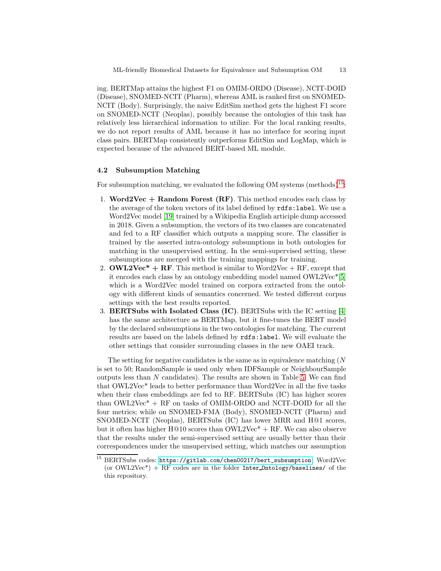ing. BERTMap attains the highest F1 on OMIM-ORDO (Disease), NCIT-DOID (Disease), SNOMED-NCIT (Pharm), whereas AML is ranked first on SNOMED-NCIT (Body). Surprisingly, the naive EditSim method gets the highest F1 score on SNOMED-NCIT (Neoplas), possibly because the ontologies of this task has relatively less hierarchical information to utilize. For the local ranking results, we do not report results of AML because it has no interface for scoring input class pairs. BERTMap consistently outperforms EditSim and LogMap, which is expected because of the advanced BERT-based ML module.

## 4.2 Subsumption Matching

For subsumption matching, we evaluated the following OM systems (methods)<sup>[15](#page-12-0)</sup>:

- 1. Word2Vec  $+$  Random Forest (RF). This method encodes each class by the average of the token vectors of its label defined by rdfs:label. We use a Word2Vec model [\[19\]](#page-15-16) trained by a Wikipedia English articiple dump accessed in 2018. Given a subsumption, the vectors of its two classes are concatenated and fed to a RF classifier which outputs a mapping score. The classifier is trained by the asserted intra-ontology subsumptions in both ontologies for matching in the unsupervised setting. In the semi-supervised setting, these subsumptions are merged with the training mappings for training.
- 2. **OWL2Vec**<sup>\*</sup> + **RF**. This method is similar to Word2Vec + RF, except that it encodes each class by an ontology embedding model named OWL2Vec\*[\[5\]](#page-15-17) which is a Word2Vec model trained on corpora extracted from the ontology with different kinds of semantics concerned. We tested different corpus settings with the best results reported.
- 3. BERTSubs with Isolated Class (IC). BERTSubs with the IC setting [\[4\]](#page-15-7) has the same architecture as BERTMap, but it fine-tunes the BERT model by the declared subsumptions in the two ontologies for matching. The current results are based on the labels defined by rdfs:label. We will evaluate the other settings that consider surrounding classes in the new OAEI track.

The setting for negative candidates is the same as in equivalence matching (N is set to 50; RandomSample is used only when IDFSample or NeighbourSample outputs less than  $N$  candidates). The results are shown in Table [5.](#page-13-0) We can find that OWL2Vec\* leads to better performance than Word2Vec in all the five tasks when their class embeddings are fed to RF. BERTSubs (IC) has higher scores than OWL2Vec\* + RF on tasks of OMIM-ORDO and NCIT-DOID for all the four metrics; while on SNOMED-FMA (Body), SNOMED-NCIT (Pharm) and SNOMED-NCIT (Neoplas), BERTSubs (IC) has lower MRR and H@1 scores, but it often has higher  $H@10$  scores than  $OWL2Vec^* + RF$ . We can also observe that the results under the semi-supervised setting are usually better than their correspondences under the unsupervised setting, which matches our assumption

<span id="page-12-0"></span> $^{15}$  BERTSubs codes: [https://gitlab.com/chen00217/bert\\_subsumption](https://gitlab.com/chen00217/bert_subsumption); Word2Vec (or  $OWL2Vec^*$ ) + RF codes are in the folder Inter\_Ontology/baselines/ of the this repository.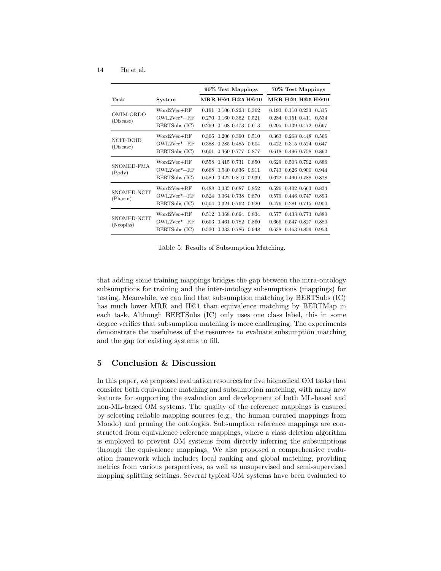#### <span id="page-13-0"></span>14 He et al.

|                          |                                                  | 90% Test Mappings                                                                   | 70% Test Mappings                                                                               |  |  |  |
|--------------------------|--------------------------------------------------|-------------------------------------------------------------------------------------|-------------------------------------------------------------------------------------------------|--|--|--|
| Task                     | System                                           | <b>MRR H@1 H@5 H@10</b>                                                             | <b>MRR H@1 H@5 H@10</b>                                                                         |  |  |  |
| OMIM-ORDO<br>(Disease)   | $Word2Vec + RF$<br>$OWL2Vec+RF$<br>BERTSubs (IC) | 0.191 0.106 0.223 0.362<br>0.270 0.160 0.362 0.521<br>0.108 0.473 0.613<br>0.299    | 0.193 0.110 0.233 0.315<br>0.284 0.151 0.411 0.534<br>0.139 0.472<br>0.295<br>0.667             |  |  |  |
| NCIT-DOID<br>(Disease)   | $Word2Vec + RF$<br>$OWL2Vec+RF$<br>BERTSubs (IC) | 0.306 0.206 0.390 0.510<br>0.388 0.285 0.485 0.604<br>0.601 0.460 0.777 0.877       | 0.363 0.263 0.448 0.566<br>0.422 0.315 0.524 0.647<br>0.618 0.496 0.758 0.862                   |  |  |  |
| SNOMED-FMA<br>(Body)     | $Word2Vec + RF$<br>$OWL2Vec+RF$<br>BERTSubs (IC) | 0.558 0.415 0.731<br>0.850<br>0.668 0.540 0.836<br>0.911<br>0.589 0.422 0.816 0.939 | 0.503 0.792<br>0.629<br>0.886<br>0.626 0.900<br>0.743<br>0.944<br>0.490 0.788<br>0.622<br>0.878 |  |  |  |
| SNOMED-NCIT<br>(Pharm)   | $Word2Vec + RF$<br>$OWL2Vec+RF$<br>BERTSubs (IC) | 0.488 0.335 0.687 0.852<br>0.524 0.364 0.738 0.870<br>0.504 0.321 0.762 0.920       | 0.526 0.402 0.663<br>0.834<br>0.579<br>0.446 0.747<br>0.893<br>0.476 0.281 0.715<br>0.900       |  |  |  |
| SNOMED-NCIT<br>(Neoplas) | $Word2Vec + RF$<br>$OWL2Vec+RF$<br>BERTSubs (IC) | 0.512 0.368 0.694 0.834<br>0.603<br>0.461 0.782 0.860<br>0.530 0.333 0.786 0.948    | 0.433 0.773<br>0.880<br>0.577<br>0.547 0.827<br>0.666<br>0.880<br>0.638 0.463 0.859<br>0.953    |  |  |  |

Table 5: Results of Subsumption Matching.

that adding some training mappings bridges the gap between the intra-ontology subsumptions for training and the inter-ontology subsumptions (mappings) for testing. Meanwhile, we can find that subsumption matching by BERTSubs (IC) has much lower MRR and H@1 than equivalence matching by BERTMap in each task. Although BERTSubs (IC) only uses one class label, this in some degree verifies that subsumption matching is more challenging. The experiments demonstrate the usefulness of the resources to evaluate subsumption matching and the gap for existing systems to fill.

# 5 Conclusion & Discussion

In this paper, we proposed evaluation resources for five biomedical OM tasks that consider both equivalence matching and subsumption matching, with many new features for supporting the evaluation and development of both ML-based and non-ML-based OM systems. The quality of the reference mappings is ensured by selecting reliable mapping sources (e.g., the human curated mappings from Mondo) and pruning the ontologies. Subsumption reference mappings are constructed from equivalence reference mappings, where a class deletion algorithm is employed to prevent OM systems from directly inferring the subsumptions through the equivalence mappings. We also proposed a comprehensive evaluation framework which includes local ranking and global matching, providing metrics from various perspectives, as well as unsupervised and semi-supervised mapping splitting settings. Several typical OM systems have been evaluated to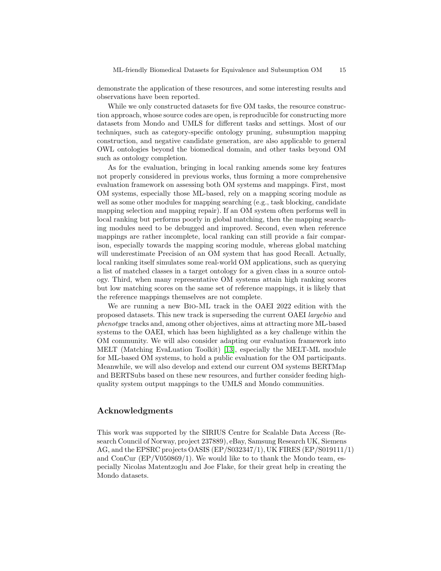demonstrate the application of these resources, and some interesting results and observations have been reported.

While we only constructed datasets for five OM tasks, the resource construction approach, whose source codes are open, is reproducible for constructing more datasets from Mondo and UMLS for different tasks and settings. Most of our techniques, such as category-specific ontology pruning, subsumption mapping construction, and negative candidate generation, are also applicable to general OWL ontologies beyond the biomedical domain, and other tasks beyond OM such as ontology completion.

As for the evaluation, bringing in local ranking amends some key features not properly considered in previous works, thus forming a more comprehensive evaluation framework on assessing both OM systems and mappings. First, most OM systems, especially those ML-based, rely on a mapping scoring module as well as some other modules for mapping searching (e.g., task blocking, candidate mapping selection and mapping repair). If an OM system often performs well in local ranking but performs poorly in global matching, then the mapping searching modules need to be debugged and improved. Second, even when reference mappings are rather incomplete, local ranking can still provide a fair comparison, especially towards the mapping scoring module, whereas global matching will underestimate Precision of an OM system that has good Recall. Actually, local ranking itself simulates some real-world OM applications, such as querying a list of matched classes in a target ontology for a given class in a source ontology. Third, when many representative OM systems attain high ranking scores but low matching scores on the same set of reference mappings, it is likely that the reference mappings themselves are not complete.

We are running a new Bio-ML track in the OAEI 2022 edition with the proposed datasets. This new track is superseding the current OAEI largebio and phenotype tracks and, among other objectives, aims at attracting more ML-based systems to the OAEI, which has been highlighted as a key challenge within the OM community. We will also consider adapting our evaluation framework into MELT (Matching EvaLuation Toolkit) [\[13\]](#page-15-18), especially the MELT-ML module for ML-based OM systems, to hold a public evaluation for the OM participants. Meanwhile, we will also develop and extend our current OM systems BERTMap and BERTSubs based on these new resources, and further consider feeding highquality system output mappings to the UMLS and Mondo communities.

# Acknowledgments

This work was supported by the SIRIUS Centre for Scalable Data Access (Research Council of Norway, project 237889), eBay, Samsung Research UK, Siemens AG, and the EPSRC projects OASIS (EP/S032347/1), UK FIRES (EP/S019111/1) and ConCur  $(EP/V050869/1)$ . We would like to to thank the Mondo team, especially Nicolas Matentzoglu and Joe Flake, for their great help in creating the Mondo datasets.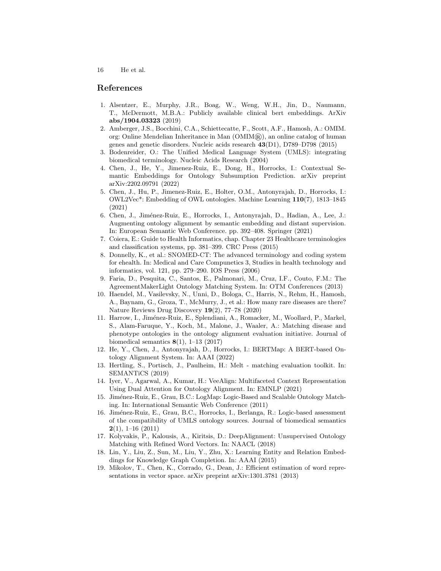16 He et al.

#### <span id="page-15-15"></span>References

- 1. Alsentzer, E., Murphy, J.R., Boag, W., Weng, W.H., Jin, D., Naumann, T., McDermott, M.B.A.: Publicly available clinical bert embeddings. ArXiv abs/1904.03323 (2019)
- <span id="page-15-10"></span>2. Amberger, J.S., Bocchini, C.A., Schiettecatte, F., Scott, A.F., Hamosh, A.: OMIM. org: Online Mendelian Inheritance in Man  $(OMIM $(R))$ , an online catalog of human$ genes and genetic disorders. Nucleic acids research 43(D1), D789–D798 (2015)
- <span id="page-15-11"></span>3. Bodenreider, O.: The Unified Medical Language System (UMLS): integrating biomedical terminology. Nucleic Acids Research (2004)
- <span id="page-15-7"></span>4. Chen, J., He, Y., Jimenez-Ruiz, E., Dong, H., Horrocks, I.: Contextual Semantic Embeddings for Ontology Subsumption Prediction. arXiv preprint arXiv:2202.09791 (2022)
- <span id="page-15-17"></span>5. Chen, J., Hu, P., Jimenez-Ruiz, E., Holter, O.M., Antonyrajah, D., Horrocks, I.: OWL2Vec\*: Embedding of OWL ontologies. Machine Learning 110(7), 1813–1845 (2021)
- <span id="page-15-5"></span>6. Chen, J., Jim´enez-Ruiz, E., Horrocks, I., Antonyrajah, D., Hadian, A., Lee, J.: Augmenting ontology alignment by semantic embedding and distant supervision. In: European Semantic Web Conference. pp. 392–408. Springer (2021)
- <span id="page-15-12"></span>7. Coiera, E.: Guide to Health Informatics, chap. Chapter 23 Healthcare terminologies and classification systems, pp. 381–399. CRC Press (2015)
- <span id="page-15-13"></span>8. Donnelly, K., et al.: SNOMED-CT: The advanced terminology and coding system for ehealth. In: Medical and Care Compunetics 3, Studies in health technology and informatics, vol. 121, pp. 279–290. IOS Press (2006)
- <span id="page-15-1"></span>9. Faria, D., Pesquita, C., Santos, E., Palmonari, M., Cruz, I.F., Couto, F.M.: The AgreementMakerLight Ontology Matching System. In: OTM Conferences (2013)
- <span id="page-15-9"></span>10. Haendel, M., Vasilevsky, N., Unni, D., Bologa, C., Harris, N., Rehm, H., Hamosh, A., Baynam, G., Groza, T., McMurry, J., et al.: How many rare diseases are there? Nature Reviews Drug Discovery 19(2), 77–78 (2020)
- <span id="page-15-6"></span>11. Harrow, I., Jim´enez-Ruiz, E., Splendiani, A., Romacker, M., Woollard, P., Markel, S., Alam-Faruque, Y., Koch, M., Malone, J., Waaler, A.: Matching disease and phenotype ontologies in the ontology alignment evaluation initiative. Journal of biomedical semantics  $8(1)$ , 1–13 (2017)
- <span id="page-15-4"></span>12. He, Y., Chen, J., Antonyrajah, D., Horrocks, I.: BERTMap: A BERT-based Ontology Alignment System. In: AAAI (2022)
- <span id="page-15-18"></span>13. Hertling, S., Portisch, J., Paulheim, H.: Melt - matching evaluation toolkit. In: SEMANTiCS (2019)
- <span id="page-15-3"></span>14. Iyer, V., Agarwal, A., Kumar, H.: VeeAlign: Multifaceted Context Representation Using Dual Attention for Ontology Alignment. In: EMNLP (2021)
- <span id="page-15-0"></span>15. Jim´enez-Ruiz, E., Grau, B.C.: LogMap: Logic-Based and Scalable Ontology Matching. In: International Semantic Web Conference (2011)
- <span id="page-15-14"></span>16. Jim´enez-Ruiz, E., Grau, B.C., Horrocks, I., Berlanga, R.: Logic-based assessment of the compatibility of UMLS ontology sources. Journal of biomedical semantics  $2(1), 1-16 (2011)$
- <span id="page-15-2"></span>17. Kolyvakis, P., Kalousis, A., Kiritsis, D.: DeepAlignment: Unsupervised Ontology Matching with Refined Word Vectors. In: NAACL (2018)
- <span id="page-15-8"></span>18. Lin, Y., Liu, Z., Sun, M., Liu, Y., Zhu, X.: Learning Entity and Relation Embeddings for Knowledge Graph Completion. In: AAAI (2015)
- <span id="page-15-16"></span>19. Mikolov, T., Chen, K., Corrado, G., Dean, J.: Efficient estimation of word representations in vector space. arXiv preprint arXiv:1301.3781 (2013)